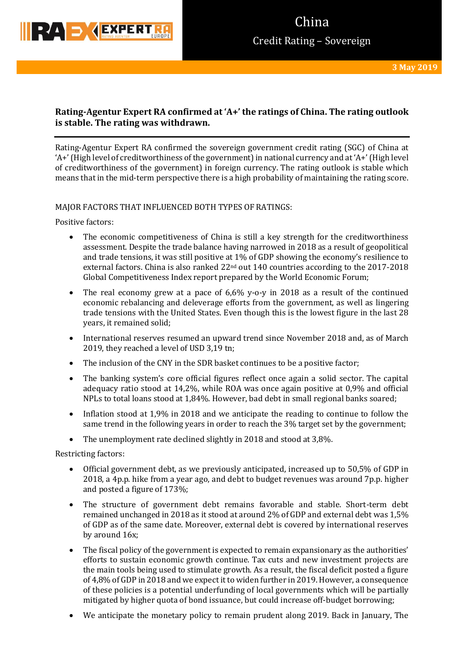

## **Rating-Agentur Expert RA confirmed at 'A+' the ratings of China. The rating outlook is stable. The rating was withdrawn.**

Rating-Agentur Expert RA confirmed the sovereign government credit rating (SGC) of China at 'A+' (High level of creditworthiness of the government) in national currency and at 'A+' (High level of creditworthiness of the government) in foreign currency. The rating outlook is stable which means that in the mid-term perspective there is a high probability of maintaining the rating score.

## MAJOR FACTORS THAT INFLUENCED BOTH TYPES OF RATINGS:

Positive factors:

- The economic competitiveness of China is still a key strength for the creditworthiness assessment. Despite the trade balance having narrowed in 2018 as a result of geopolitical and trade tensions, it was still positive at 1% of GDP showing the economy's resilience to external factors. China is also ranked 22<sup>nd</sup> out 140 countries according to the 2017-2018 Global Competitiveness Index report prepared by the World Economic Forum;
- The real economy grew at a pace of 6,6% y-o-y in 2018 as a result of the continued economic rebalancing and deleverage efforts from the government, as well as lingering trade tensions with the United States. Even though this is the lowest figure in the last 28 years, it remained solid;
- International reserves resumed an upward trend since November 2018 and, as of March 2019, they reached a level of USD 3,19 tn;
- The inclusion of the CNY in the SDR basket continues to be a positive factor;
- The banking system's core official figures reflect once again a solid sector. The capital adequacy ratio stood at 14,2%, while ROA was once again positive at 0,9% and official NPLs to total loans stood at 1,84%. However, bad debt in small regional banks soared;
- Inflation stood at 1,9% in 2018 and we anticipate the reading to continue to follow the same trend in the following years in order to reach the 3% target set by the government;
- The unemployment rate declined slightly in 2018 and stood at 3,8%.

Restricting factors:

- Official government debt, as we previously anticipated, increased up to 50,5% of GDP in 2018, a 4p.p. hike from a year ago, and debt to budget revenues was around 7p.p. higher and posted a figure of 173%;
- The structure of government debt remains favorable and stable. Short-term debt remained unchanged in 2018 as it stood at around 2% of GDP and external debt was 1,5% of GDP as of the same date. Moreover, external debt is covered by international reserves by around 16x;
- The fiscal policy of the government is expected to remain expansionary as the authorities' efforts to sustain economic growth continue. Tax cuts and new investment projects are the main tools being used to stimulate growth. As a result, the fiscal deficit posted a figure of 4,8% of GDP in 2018 and we expect it to widen further in 2019. However, a consequence of these policies is a potential underfunding of local governments which will be partially mitigated by higher quota of bond issuance, but could increase off-budget borrowing;
- We anticipate the monetary policy to remain prudent along 2019. Back in January, The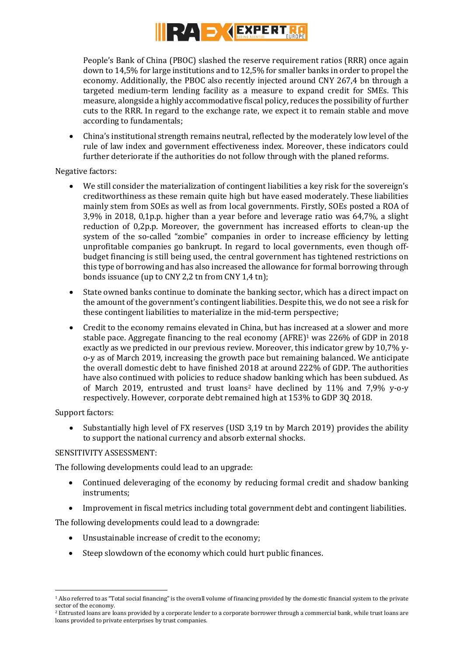

People's Bank of China (PBOC) slashed the reserve requirement ratios (RRR) once again down to 14,5% for large institutions and to 12,5% for smaller banks in order to propel the economy. Additionally, the PBOC also recently injected around CNY 267,4 bn through a targeted medium-term lending facility as a measure to expand credit for SMEs. This measure, alongside a highly accommodative fiscal policy, reduces the possibility of further cuts to the RRR. In regard to the exchange rate, we expect it to remain stable and move according to fundamentals;

 China's institutional strength remains neutral, reflected by the moderately low level of the rule of law index and government effectiveness index. Moreover, these indicators could further deteriorate if the authorities do not follow through with the planed reforms.

Negative factors:

- We still consider the materialization of contingent liabilities a key risk for the sovereign's creditworthiness as these remain quite high but have eased moderately. These liabilities mainly stem from SOEs as well as from local governments. Firstly, SOEs posted a ROA of 3,9% in 2018, 0,1p.p. higher than a year before and leverage ratio was 64,7%, a slight reduction of 0,2p.p. Moreover, the government has increased efforts to clean-up the system of the so-called "zombie" companies in order to increase efficiency by letting unprofitable companies go bankrupt. In regard to local governments, even though offbudget financing is still being used, the central government has tightened restrictions on this type of borrowing and has also increased the allowance for formal borrowing through bonds issuance (up to CNY 2,2 tn from CNY 1,4 tn);
- State owned banks continue to dominate the banking sector, which has a direct impact on the amount of the government's contingent liabilities. Despite this, we do not see a risk for these contingent liabilities to materialize in the mid-term perspective;
- Credit to the economy remains elevated in China, but has increased at a slower and more stable pace. Aggregate financing to the real economy (AFRE)<sup>1</sup> was 226% of GDP in 2018 exactly as we predicted in our previous review. Moreover, this indicator grew by 10,7% yo-y as of March 2019, increasing the growth pace but remaining balanced. We anticipate the overall domestic debt to have finished 2018 at around 222% of GDP. The authorities have also continued with policies to reduce shadow banking which has been subdued. As of March 2019, entrusted and trust loans<sup>2</sup> have declined by 11% and 7,9% y-o-y respectively. However, corporate debt remained high at 153% to GDP 3Q 2018.

Support factors:

 Substantially high level of FX reserves (USD 3,19 tn by March 2019) provides the ability to support the national currency and absorb external shocks.

## SENSITIVITY ASSESSMENT:

The following developments could lead to an upgrade:

- Continued deleveraging of the economy by reducing formal credit and shadow banking instruments;
- Improvement in fiscal metrics including total government debt and contingent liabilities.

The following developments could lead to a downgrade:

- Unsustainable increase of credit to the economy;
- Steep slowdown of the economy which could hurt public finances.

**<sup>.</sup>** <sup>1</sup> Also referred to as "Total social financing" is the overall volume of financing provided by the domestic financial system to the private sector of the economy.

<sup>&</sup>lt;sup>2</sup> Entrusted loans are loans provided by a corporate lender to a corporate borrower through a commercial bank, while trust loans are loans provided to private enterprises by trust companies.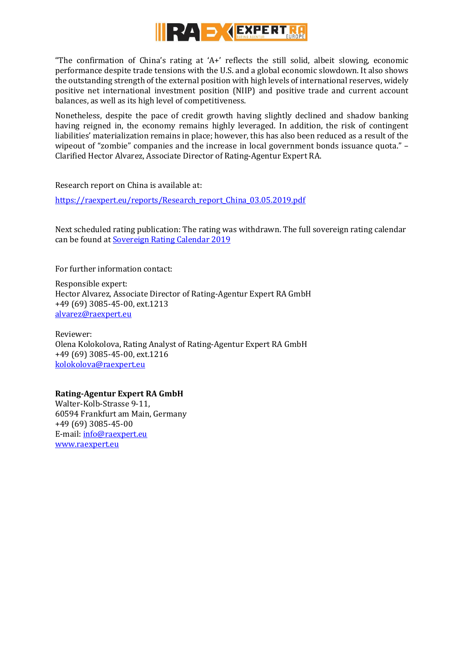

"The confirmation of China's rating at 'A+' reflects the still solid, albeit slowing, economic performance despite trade tensions with the U.S. and a global economic slowdown. It also shows the outstanding strength of the external position with high levels of international reserves, widely positive net international investment position (NIIP) and positive trade and current account balances, as well as its high level of competitiveness.

Nonetheless, despite the pace of credit growth having slightly declined and shadow banking having reigned in, the economy remains highly leveraged. In addition, the risk of contingent liabilities' materialization remains in place; however, this has also been reduced as a result of the wipeout of "zombie" companies and the increase in local government bonds issuance quota." -Clarified Hector Alvarez, Associate Director of Rating-Agentur Expert RA.

Research report on China is available at:

[https://raexpert.eu/reports/Research\\_report\\_China\\_03.05.2019.pdf](https://raexpert.eu/reports/Research_report_China_03.05.2019.pdf)

Next scheduled rating publication: The rating was withdrawn. The full sovereign rating calendar can be found at [Sovereign Rating Calendar 2019](https://raexpert.eu/sovereign/#conf-tab-5)

For further information contact:

Responsible expert: Hector Alvarez, Associate Director of Rating-Agentur Expert RA GmbH +49 (69) 3085-45-00, ext.1213 [alvarez@raexpert.eu](mailto:alvarez@raexpert.eu)

Reviewer: Olena Kolokolova, Rating Analyst of Rating-Agentur Expert RA GmbH +49 (69) 3085-45-00, ext.1216 [kolokolova@raexpert.eu](mailto:kolokolova@raexpert.eu)

## **Rating-Agentur Expert RA GmbH**

Walter-Kolb-Strasse 9-11, 60594 Frankfurt am Main, Germany +49 (69) 3085-45-00 E-mail[: info@raexpert.eu](mailto:info@raexpert.eu) [www.raexpert.eu](http://raexpert.eu/)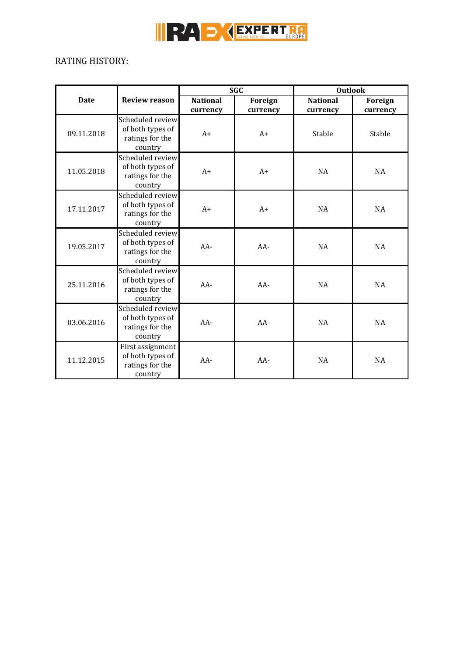

# RATING HISTORY:

|             |                                                                    | <b>SGC</b>      |          | <b>Outlook</b>  |           |
|-------------|--------------------------------------------------------------------|-----------------|----------|-----------------|-----------|
| <b>Date</b> | <b>Review reason</b>                                               | <b>National</b> | Foreign  | <b>National</b> | Foreign   |
|             |                                                                    | currency        | currency | currency        | currency  |
| 09.11.2018  | Scheduled review<br>of both types of<br>ratings for the<br>country | $A+$            | $A+$     | Stable          | Stable    |
| 11.05.2018  | Scheduled review<br>of both types of<br>ratings for the<br>country | $A+$            | $A+$     | <b>NA</b>       | <b>NA</b> |
| 17.11.2017  | Scheduled review<br>of both types of<br>ratings for the<br>country | $A+$            | $A+$     | NA              | <b>NA</b> |
| 19.05.2017  | Scheduled review<br>of both types of<br>ratings for the<br>country | $AA-$           | $AA-$    | <b>NA</b>       | NA        |
| 25.11.2016  | Scheduled review<br>of both types of<br>ratings for the<br>country | AA-             | AA-      | <b>NA</b>       | <b>NA</b> |
| 03.06.2016  | Scheduled review<br>of both types of<br>ratings for the<br>country | $AA-$           | $AA-$    | <b>NA</b>       | <b>NA</b> |
| 11.12.2015  | First assignment<br>of both types of<br>ratings for the<br>country | $AA-$           | $AA-$    | <b>NA</b>       | <b>NA</b> |